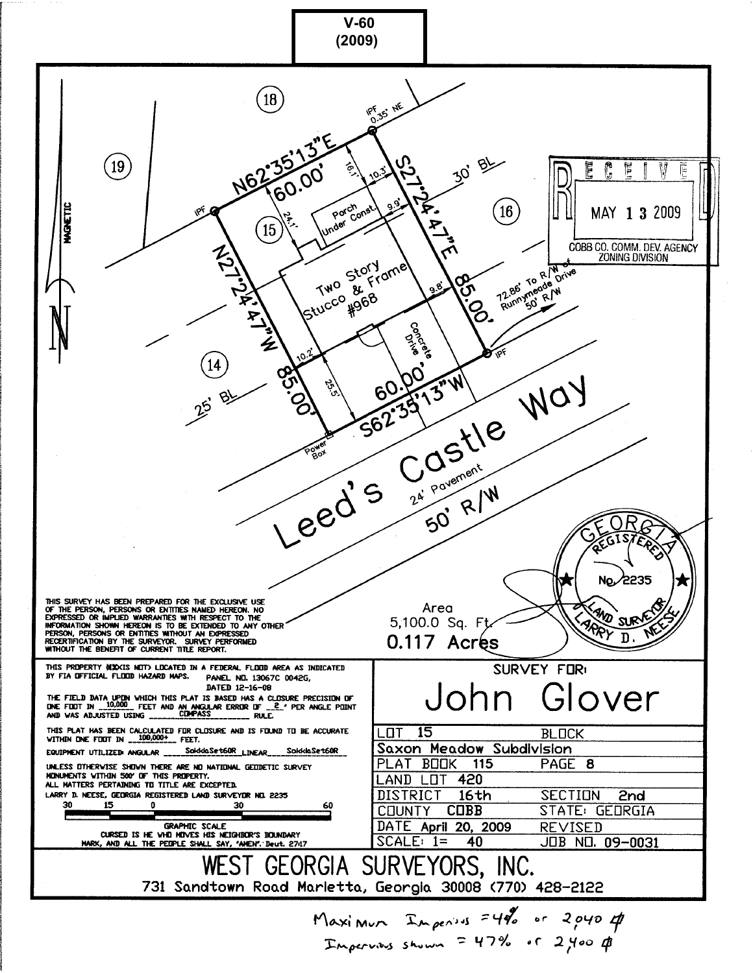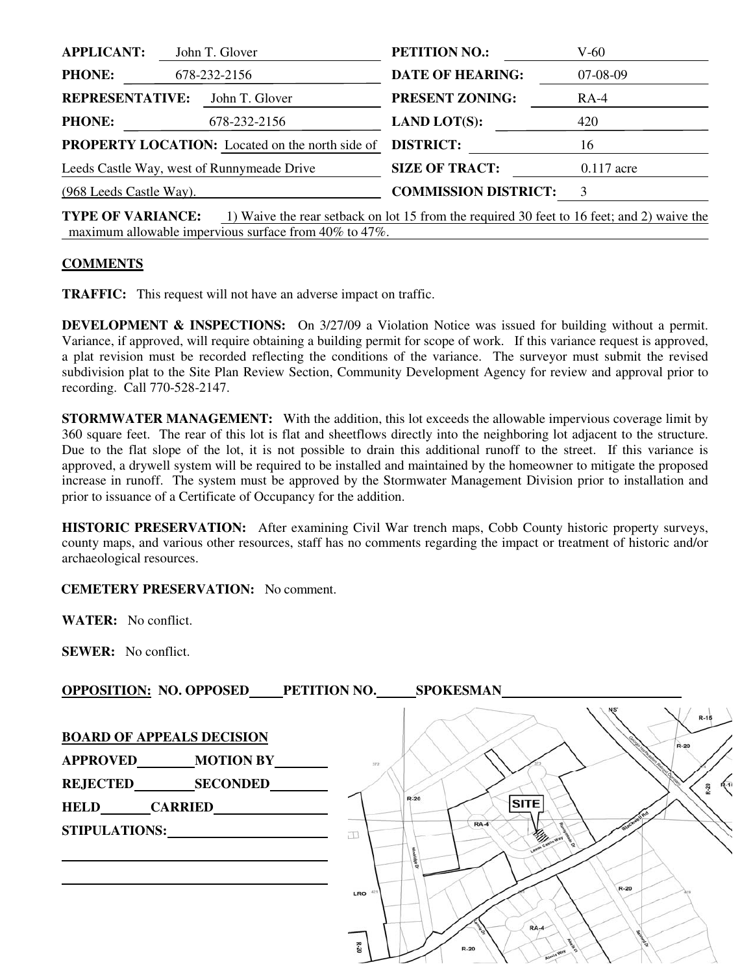| <b>APPLICANT:</b>                                      |  | John T. Glover          | <b>PETITION NO.:</b>        | $V-60$        |
|--------------------------------------------------------|--|-------------------------|-----------------------------|---------------|
| <b>PHONE:</b><br>678-232-2156                          |  | <b>DATE OF HEARING:</b> | $07-08-09$                  |               |
| <b>REPRESENTATIVE:</b>                                 |  | John T. Glover          | <b>PRESENT ZONING:</b>      | RA-4          |
| <b>PHONE:</b>                                          |  | 678-232-2156            | <b>LAND LOT(S):</b>         | 420           |
| <b>PROPERTY LOCATION:</b> Located on the north side of |  |                         | <b>DISTRICT:</b>            | 16            |
| Leeds Castle Way, west of Runnymeade Drive             |  |                         | <b>SIZE OF TRACT:</b>       | $0.117$ acre  |
| $(968$ Leeds Castle Way).                              |  |                         | <b>COMMISSION DISTRICT:</b> | $\mathcal{F}$ |
|                                                        |  |                         |                             |               |

**TYPE OF VARIANCE:** 1) Waive the rear setback on lot 15 from the required 30 feet to 16 feet; and 2) waive the maximum allowable impervious surface from 40% to 47%.

## **COMMENTS**

**TRAFFIC:** This request will not have an adverse impact on traffic.

**DEVELOPMENT & INSPECTIONS:** On 3/27/09 a Violation Notice was issued for building without a permit. Variance, if approved, will require obtaining a building permit for scope of work. If this variance request is approved, a plat revision must be recorded reflecting the conditions of the variance. The surveyor must submit the revised subdivision plat to the Site Plan Review Section, Community Development Agency for review and approval prior to recording. Call 770-528-2147.

**STORMWATER MANAGEMENT:** With the addition, this lot exceeds the allowable impervious coverage limit by 360 square feet. The rear of this lot is flat and sheetflows directly into the neighboring lot adjacent to the structure. Due to the flat slope of the lot, it is not possible to drain this additional runoff to the street. If this variance is approved, a drywell system will be required to be installed and maintained by the homeowner to mitigate the proposed increase in runoff. The system must be approved by the Stormwater Management Division prior to installation and prior to issuance of a Certificate of Occupancy for the addition.

**HISTORIC PRESERVATION:** After examining Civil War trench maps, Cobb County historic property surveys, county maps, and various other resources, staff has no comments regarding the impact or treatment of historic and/or archaeological resources.

**CEMETERY PRESERVATION:** No comment.

**WATER:** No conflict.

**SEWER:** No conflict.

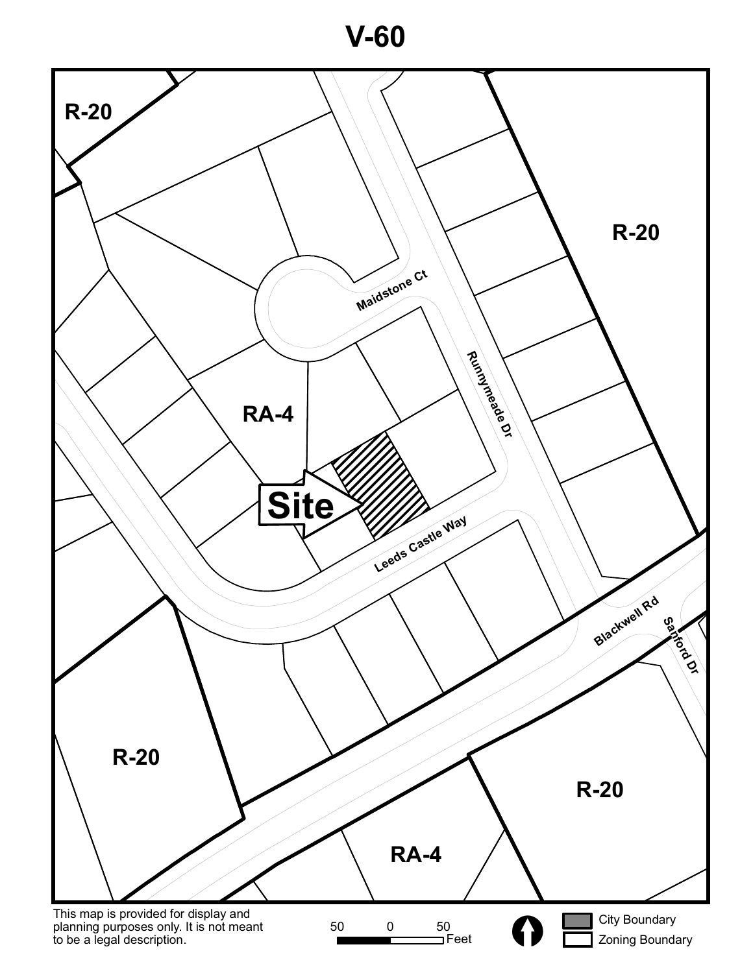**V-60**